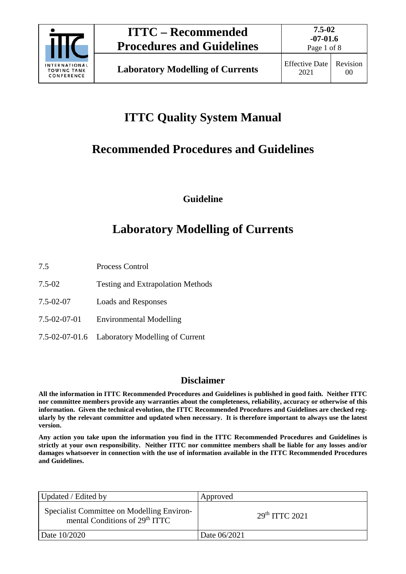

Page 1 of 8

# **ITTC Quality System Manual**

# **Recommended Procedures and Guidelines**

**Guideline**

# **Laboratory Modelling of Currents**

7.5 Process Control

- 7.5-02 Testing and Extrapolation Methods
- 7.5-02-07 Loads and Responses
- 7.5-02-07-01 Environmental Modelling
- 7.5-02-07-01.6 Laboratory Modelling of Current

### **Disclaimer**

**All the information in ITTC Recommended Procedures and Guidelines is published in good faith. Neither ITTC nor committee members provide any warranties about the completeness, reliability, accuracy or otherwise of this information. Given the technical evolution, the ITTC Recommended Procedures and Guidelines are checked regularly by the relevant committee and updated when necessary. It is therefore important to always use the latest version.**

**Any action you take upon the information you find in the ITTC Recommended Procedures and Guidelines is strictly at your own responsibility. Neither ITTC nor committee members shall be liable for any losses and/or damages whatsoever in connection with the use of information available in the ITTC Recommended Procedures and Guidelines.**

| Updated / Edited by                                                                      | Approved                   |
|------------------------------------------------------------------------------------------|----------------------------|
| Specialist Committee on Modelling Environ-<br>mental Conditions of 29 <sup>th</sup> ITTC | 29 <sup>th</sup> TTTC 2021 |
| Date 10/2020                                                                             | Date 06/2021               |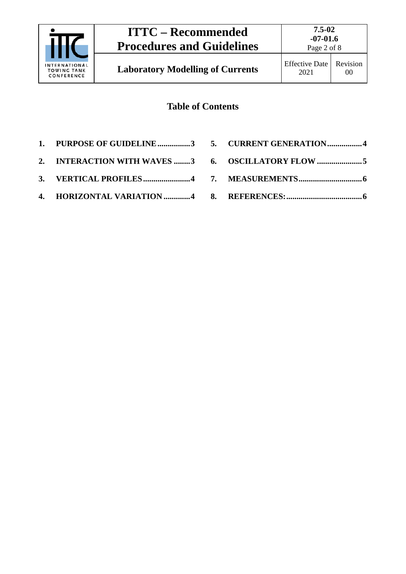

Page 2 of 8

## **Table of Contents**

- **1. [PURPOSE OF GUIDELINE................3](#page-2-0)**
- **2. [INTERACTION WITH WAVES](#page-2-1) ........3**
- **3. [VERTICAL PROFILES.......................4](#page-3-0)**
- **4. [HORIZONTAL VARIATION](#page-3-1) .............4**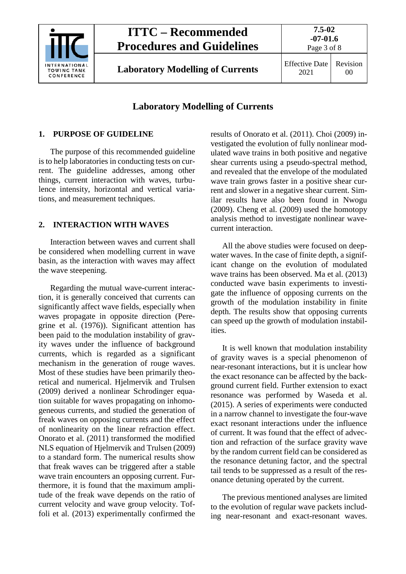

## **ITTC – Recommended Procedures and Guidelines**

**Laboratory Modelling of Currents** Effective Date

**-07-01.6** Page 3 of 8

**7.5-02**

2021 Revision 00

### **Laboratory Modelling of Currents**

#### <span id="page-2-0"></span>**1. PURPOSE OF GUIDELINE**

The purpose of this recommended guideline is to help laboratories in conducting tests on current. The guideline addresses, among other things, current interaction with waves, turbulence intensity, horizontal and vertical variations, and measurement techniques.

#### <span id="page-2-1"></span>**2. INTERACTION WITH WAVES**

Interaction between waves and current shall be considered when modelling current in wave basin, as the interaction with waves may affect the wave steepening.

Regarding the mutual wave-current interaction, it is generally conceived that currents can significantly affect wave fields, especially when waves propagate in opposite direction (Peregrine et al. (1976)). Significant attention has been paid to the modulation instability of gravity waves under the influence of background currents, which is regarded as a significant mechanism in the generation of rouge waves. Most of these studies have been primarily theoretical and numerical. Hjelmervik and Trulsen (2009) derived a nonlinear Schrodinger equation suitable for waves propagating on inhomogeneous currents, and studied the generation of freak waves on opposing currents and the effect of nonlinearity on the linear refraction effect. Onorato et al. (2011) transformed the modified NLS equation of Hjelmervik and Trulsen (2009) to a standard form. The numerical results show that freak waves can be triggered after a stable wave train encounters an opposing current. Furthermore, it is found that the maximum amplitude of the freak wave depends on the ratio of current velocity and wave group velocity. Toffoli et al. (2013) experimentally confirmed the results of Onorato et al. (2011). Choi (2009) investigated the evolution of fully nonlinear modulated wave trains in both positive and negative shear currents using a pseudo-spectral method, and revealed that the envelope of the modulated wave train grows faster in a positive shear current and slower in a negative shear current. Similar results have also been found in Nwogu (2009). Cheng et al. (2009) used the homotopy analysis method to investigate nonlinear wavecurrent interaction.

All the above studies were focused on deepwater waves. In the case of finite depth, a significant change on the evolution of modulated wave trains has been observed. Ma et al. (2013) conducted wave basin experiments to investigate the influence of opposing currents on the growth of the modulation instability in finite depth. The results show that opposing currents can speed up the growth of modulation instabilities.

It is well known that modulation instability of gravity waves is a special phenomenon of near-resonant interactions, but it is unclear how the exact resonance can be affected by the background current field. Further extension to exact resonance was performed by Waseda et al. (2015). A series of experiments were conducted in a narrow channel to investigate the four-wave exact resonant interactions under the influence of current. It was found that the effect of advection and refraction of the surface gravity wave by the random current field can be considered as the resonance detuning factor, and the spectral tail tends to be suppressed as a result of the resonance detuning operated by the current.

The previous mentioned analyses are limited to the evolution of regular wave packets including near-resonant and exact-resonant waves.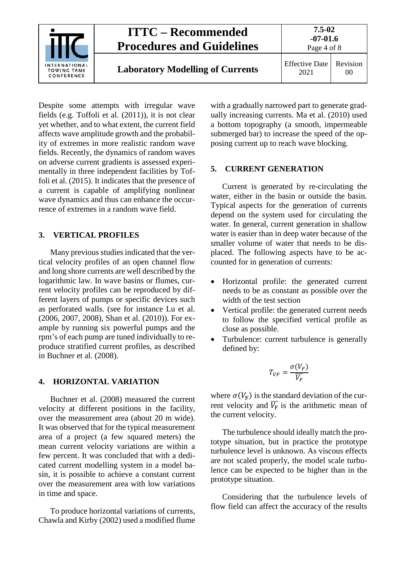

Despite some attempts with irregular wave fields (e.g. Toffoli et al. (2011)), it is not clear yet whether, and to what extent, the current field affects wave amplitude growth and the probability of extremes in more realistic random wave fields. Recently, the dynamics of random waves on adverse current gradients is assessed experimentally in three independent facilities by Toffoli et al. (2015). It indicates that the presence of a current is capable of amplifying nonlinear wave dynamics and thus can enhance the occurrence of extremes in a random wave field.

#### <span id="page-3-0"></span>**3. VERTICAL PROFILES**

Many previous studies indicated that the vertical velocity profiles of an open channel flow and long shore currents are well described by the logarithmic law. In wave basins or flumes, current velocity profiles can be reproduced by different layers of pumps or specific devices such as perforated walls. (see for instance Lu et al. (2006, 2007, 2008), Shan et al. (2010)). For example by running six powerful pumps and the rpm's of each pump are tuned individually to reproduce stratified current profiles, as described in Buchner et al. (2008).

#### <span id="page-3-1"></span>**4. HORIZONTAL VARIATION**

Buchner et al. (2008) measured the current velocity at different positions in the facility, over the measurement area (about 20 m wide). It was observed that for the typical measurement area of a project (a few squared meters) the mean current velocity variations are within a few percent. It was concluded that with a dedicated current modelling system in a model basin, it is possible to achieve a constant current over the measurement area with low variations in time and space.

To produce horizontal variations of currents, Chawla and Kirby (2002) used a modified flume

with a gradually narrowed part to generate gradually increasing currents. Ma et al. (2010) used a bottom topography (a smooth, impermeable submerged bar) to increase the speed of the opposing current up to reach wave blocking.

#### <span id="page-3-2"></span>**5. CURRENT GENERATION**

Current is generated by re-circulating the water, either in the basin or outside the basin. Typical aspects for the generation of currents depend on the system used for circulating the water. In general, current generation in shallow water is easier than in deep water because of the smaller volume of water that needs to be displaced. The following aspects have to be accounted for in generation of currents:

- Horizontal profile: the generated current needs to be as constant as possible over the width of the test section
- Vertical profile: the generated current needs to follow the specified vertical profile as close as possible.
- Turbulence: current turbulence is generally defined by:

$$
T_{VF} = \frac{\sigma(V_F)}{\overline{V_F}}
$$

where  $\sigma(V_{\rm F})$  is the standard deviation of the current velocity and  $\overline{V_{F}}$  is the arithmetic mean of the current velocity.

The turbulence should ideally match the prototype situation, but in practice the prototype turbulence level is unknown. As viscous effects are not scaled properly, the model scale turbulence can be expected to be higher than in the prototype situation.

Considering that the turbulence levels of flow field can affect the accuracy of the results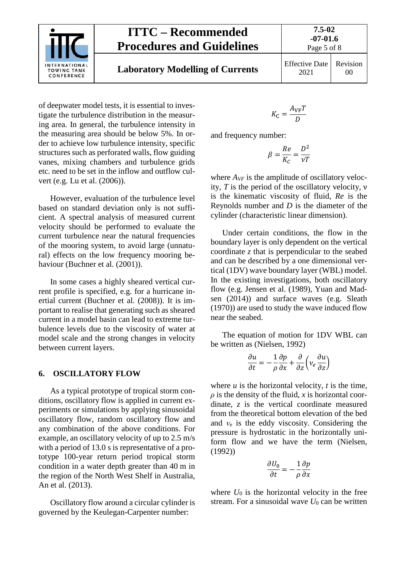

## **ITTC – Recommended Procedures and Guidelines**

**7.5-02**

of deepwater model tests, it is essential to investigate the turbulence distribution in the measuring area. In general, the turbulence intensity in the measuring area should be below 5%. In order to achieve low turbulence intensity, specific structures such as perforated walls, flow guiding vanes, mixing chambers and turbulence grids etc. need to be set in the inflow and outflow culvert (e.g. Lu et al. (2006)).

However, evaluation of the turbulence level based on standard deviation only is not sufficient. A spectral analysis of measured current velocity should be performed to evaluate the current turbulence near the natural frequencies of the mooring system, to avoid large (unnatural) effects on the low frequency mooring behaviour (Buchner et al. (2001)).

In some cases a highly sheared vertical current profile is specified, e.g. for a hurricane inertial current (Buchner et al. (2008)). It is important to realise that generating such as sheared current in a model basin can lead to extreme turbulence levels due to the viscosity of water at model scale and the strong changes in velocity between current layers.

#### <span id="page-4-0"></span>**6. OSCILLATORY FLOW**

As a typical prototype of tropical storm conditions, oscillatory flow is applied in current experiments or simulations by applying sinusoidal oscillatory flow, random oscillatory flow and any combination of the above conditions. For example, an oscillatory velocity of up to 2.5 m/s with a period of 13.0 s is representative of a prototype 100-year return period tropical storm condition in a water depth greater than 40 m in the region of the North West Shelf in Australia, An et al. (2013).

Oscillatory flow around a circular cylinder is governed by the Keulegan-Carpenter number:

$$
K_{\rm C} = \frac{A_{\rm VF} T}{D}
$$

and frequency number:

$$
\beta = \frac{Re}{K_C} = \frac{D^2}{\nu T}
$$

where  $A_{VF}$  is the amplitude of oscillatory velocity, *T* is the period of the oscillatory velocity, ν is the kinematic viscosity of fluid, *Re* is the Reynolds number and *D* is the diameter of the cylinder (characteristic linear dimension).

Under certain conditions, the flow in the boundary layer is only dependent on the vertical coordinate *z* that is perpendicular to the seabed and can be described by a one dimensional vertical (1DV) wave boundary layer (WBL) model. In the existing investigations, both oscillatory flow (e.g. Jensen et al. (1989), Yuan and Madsen (2014)) and surface waves (e.g. Sleath (1970)) are used to study the wave induced flow near the seabed.

The equation of motion for 1DV WBL can be written as (Nielsen, 1992)

$$
\frac{\partial u}{\partial t} = -\frac{1}{\rho} \frac{\partial p}{\partial x} + \frac{\partial}{\partial z} \left( v_e \frac{\partial u}{\partial z} \right)
$$

where  $u$  is the horizontal velocity,  $t$  is the time,  $\rho$  is the density of the fluid, *x* is horizontal coordinate, *z* is the vertical coordinate measured from the theoretical bottom elevation of the bed and *ν*<sup>e</sup> is the eddy viscosity. Considering the pressure is hydrostatic in the horizontally uniform flow and we have the term (Nielsen, (1992))

$$
\frac{\partial U_0}{\partial t} = -\frac{1}{\rho} \frac{\partial p}{\partial x}
$$

where  $U_0$  is the horizontal velocity in the free stream. For a sinusoidal wave  $U_0$  can be written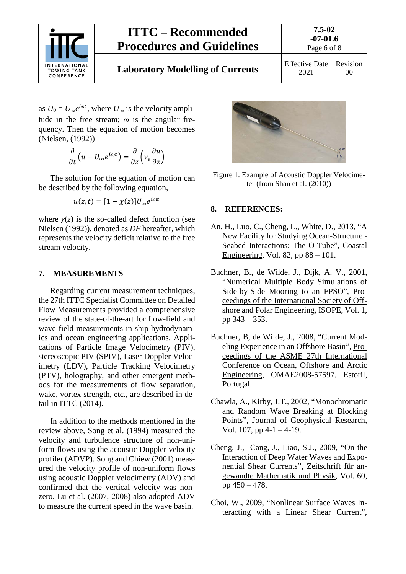

# **ITTC – Recommended Procedures and Guidelines**

as  $U_0 = U_\infty e^{i\omega t}$ , where  $U_\infty$  is the velocity amplitude in the free stream; *ω* is the angular frequency. Then the equation of motion becomes (Nielsen, (1992))

$$
\frac{\partial}{\partial t}\left(u-U_\infty e^{i\omega t}\right)=\frac{\partial}{\partial z}\left(v_e\frac{\partial u}{\partial z}\right)
$$

The solution for the equation of motion can be described by the following equation,

$$
u(z,t)=[1-\chi(z)]U_{\infty}e^{i\omega t}
$$

where  $\chi(z)$  is the so-called defect function (see Nielsen (1992)), denoted as *DF* hereafter, which represents the velocity deficit relative to the free stream velocity.

#### <span id="page-5-0"></span>**7. MEASUREMENTS**

Regarding current measurement techniques, the 27th ITTC Specialist Committee on Detailed Flow Measurements provided a comprehensive review of the state-of-the-art for flow-field and wave-field measurements in ship hydrodynamics and ocean engineering applications. Applications of Particle Image Velocimetry (PIV), stereoscopic PIV (SPIV), Laser Doppler Velocimetry (LDV), Particle Tracking Velocimetry (PTV), holography, and other emergent methods for the measurements of flow separation, wake, vortex strength, etc., are described in detail in ITTC (2014).

In addition to the methods mentioned in the review above, Song et al. (1994) measured the velocity and turbulence structure of non-uniform flows using the acoustic Doppler velocity profiler (ADVP). Song and Chiew (2001) measured the velocity profile of non-uniform flows using acoustic Doppler velocimetry (ADV) and confirmed that the vertical velocity was nonzero. Lu et al. (2007, 2008) also adopted ADV to measure the current speed in the wave basin.



Figure 1. Example of Acoustic Doppler Velocimeter (from Shan et al. (2010))

#### <span id="page-5-1"></span>**8. REFERENCES:**

- An, H., Luo, C., Cheng, L., White, D., 2013, "A New Facility for Studying Ocean-Structure - Seabed Interactions: The O-Tube", Coastal Engineering, Vol. 82, pp 88 – 101.
- Buchner, B., de Wilde, J., Dijk, A. V., 2001, "Numerical Multiple Body Simulations of Side-by-Side Mooring to an FPSO", Proceedings of the International Society of Offshore and Polar Engineering, ISOPE, Vol. 1, pp 343 – 353.
- Buchner, B, de Wilde, J., 2008, "Current Modeling Experience in an Offshore Basin", Proceedings of the ASME 27th International Conference on Ocean, Offshore and Arctic Engineering, OMAE2008-57597, Estoril, Portugal.
- Chawla, A., Kirby, J.T., 2002, "Monochromatic and Random Wave Breaking at Blocking Points", Journal of Geophysical Research, Vol. 107, pp  $4-1-4-19$ .
- Cheng, J., Cang, J., Liao, S.J., 2009, "On the Interaction of Deep Water Waves and Exponential Shear Currents", Zeitschrift für angewandte Mathematik und Physik, Vol. 60, pp 450 – 478.
- Choi, W., 2009, "Nonlinear Surface Waves Interacting with a Linear Shear Current",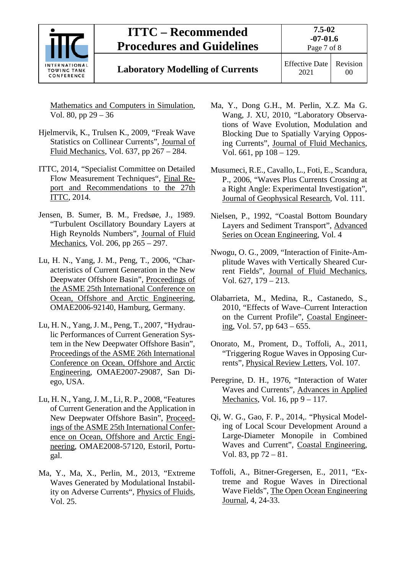

# **Laboratory Modelling of Currents** Effective Date

2021 Revision 00

Mathematics and Computers in Simulation, Vol. 80, pp 29 – 36

- Hjelmervik, K., Trulsen K., 2009, "Freak Wave Statistics on Collinear Currents", Journal of Fluid Mechanics, Vol. 637, pp 267 – 284.
- ITTC, 2014, "Specialist Committee on Detailed Flow Measurement Techniques", Final Report and Recommendations to the 27th ITTC, 2014.
- Jensen, B. Sumer, B. M., Fredsøe, J., 1989. "Turbulent Oscillatory Boundary Layers at High Reynolds Numbers", Journal of Fluid Mechanics, Vol. 206, pp 265 – 297.
- Lu, H. N., Yang, J. M., Peng, T., 2006, "Characteristics of Current Generation in the New Deepwater Offshore Basin", Proceedings of the ASME 25th International Conference on Ocean, Offshore and Arctic Engineering, OMAE2006-92140, Hamburg, Germany.
- Lu, H. N., Yang, J. M., Peng, T., 2007, "Hydraulic Performances of Current Generation System in the New Deepwater Offshore Basin", Proceedings of the ASME 26th International Conference on Ocean, Offshore and Arctic Engineering, OMAE2007-29087, San Diego, USA.
- Lu, H. N., Yang, J. M., Li, R. P., 2008, "Features of Current Generation and the Application in New Deepwater Offshore Basin", Proceedings of the ASME 25th International Conference on Ocean, Offshore and Arctic Engineering, OMAE2008-57120, Estoril, Portugal.
- Ma, Y., Ma, X., Perlin, M., 2013, "Extreme Waves Generated by Modulational Instability on Adverse Currents", Physics of Fluids, Vol. 25.
- Ma, Y., Dong G.H., M. Perlin, X.Z. Ma G. Wang, J. XU, 2010, "Laboratory Observations of Wave Evolution, Modulation and Blocking Due to Spatially Varying Opposing Currents", Journal of Fluid Mechanics, Vol. 661, pp 108 – 129.
- Musumeci, R.E., Cavallo, L., Foti, E., Scandura, P., 2006, "Waves Plus Currents Crossing at a Right Angle: Experimental Investigation", Journal of Geophysical Research, Vol. 111.
- Nielsen, P., 1992, "Coastal Bottom Boundary Layers and Sediment Transport", Advanced Series on Ocean Engineering, Vol. 4
- Nwogu, O. G., 2009, "Interaction of Finite-Amplitude Waves with Vertically Sheared Current Fields", Journal of Fluid Mechanics, Vol. 627, 179 – 213.
- Olabarrieta, M., Medina, R., Castanedo, S., 2010, "Effects of Wave–Current Interaction on the Current Profile", Coastal Engineering, Vol. 57, pp 643 – 655.
- Onorato, M., Proment, D., Toffoli, A., 2011, "Triggering Rogue Waves in Opposing Currents", Physical Review Letters, Vol. 107.
- Peregrine, D. H., 1976, "Interaction of Water Waves and Currents", Advances in Applied Mechanics, Vol. 16, pp  $9 - 117$ .
- Qi, W. G., Gao, F. P., 2014,. "Physical Modeling of Local Scour Development Around a Large-Diameter Monopile in Combined Waves and Current", Coastal Engineering, Vol. 83, pp 72 – 81.
- Toffoli, A., Bitner-Gregersen, E., 2011, "Extreme and Rogue Waves in Directional Wave Fields", The Open Ocean Engineering Journal, 4, 24-33.